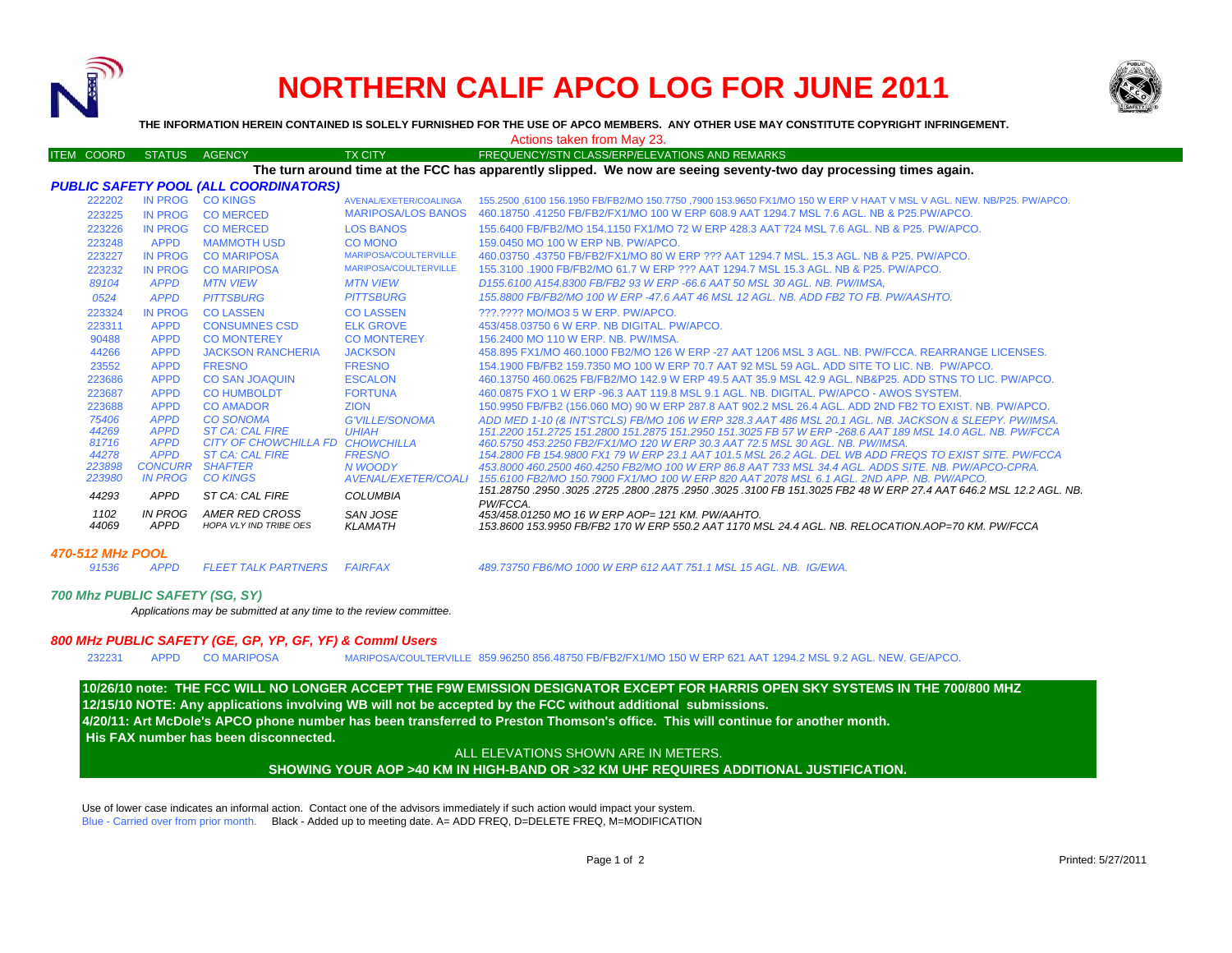

# **NORTHERN CALIF APCO LOG FOR JUNE 2011**



**THE INFORMATION HEREIN CONTAINED IS SOLELY FURNISHED FOR THE USE OF APCO MEMBERS. ANY OTHER USE MAY CONSTITUTE COPYRIGHT INFRINGEMENT.**

## Actions taken from May 23.

|                                                                                                                   | <b>ITEM COORD</b> | <b>STATUS</b>              | <b>AGENCY</b>                                              | <b>TX CITY</b>               | FREQUENCY/STN CLASS/ERP/ELEVATIONS AND REMARKS                                                                                                                                                                |
|-------------------------------------------------------------------------------------------------------------------|-------------------|----------------------------|------------------------------------------------------------|------------------------------|---------------------------------------------------------------------------------------------------------------------------------------------------------------------------------------------------------------|
| The turn around time at the FCC has apparently slipped. We now are seeing seventy-two day processing times again. |                   |                            |                                                            |                              |                                                                                                                                                                                                               |
| PUBLIC SAFETY POOL (ALL COORDINATORS)                                                                             |                   |                            |                                                            |                              |                                                                                                                                                                                                               |
|                                                                                                                   | 222202            | IN PROG                    | <b>CO KINGS</b>                                            | AVENAL/EXETER/COALINGA       | 155,2500 6100 156,1950 FB/FB2/MO 150,7750 .7900 153,9650 FX1/MO 150 W ERP V HAAT V MSL V AGL. NEW, NB/P25, PW/APCO,                                                                                           |
|                                                                                                                   | 223225            | <b>IN PROG</b>             | <b>CO MERCED</b>                                           | <b>MARIPOSA/LOS BANOS</b>    | 460.18750 .41250 FB/FB2/FX1/MO 100 W ERP 608.9 AAT 1294.7 MSL 7.6 AGL, NB & P25.PW/APCO.                                                                                                                      |
|                                                                                                                   | 223226            | <b>IN PROG</b>             | <b>CO MERCED</b>                                           | <b>LOS BANOS</b>             | 155,6400 FB/FB2/MO 154,1150 FX1/MO 72 W ERP 428.3 AAT 724 MSL 7.6 AGL, NB & P25, PW/APCO,                                                                                                                     |
|                                                                                                                   | 223248            | <b>APPD</b>                | <b>MAMMOTH USD</b>                                         | <b>CO MONO</b>               | 159,0450 MO 100 W ERP NB, PW/APCO,                                                                                                                                                                            |
|                                                                                                                   | 223227            | <b>IN PROG</b>             | <b>CO MARIPOSA</b>                                         | <b>MARIPOSA/COULTERVILLE</b> | 460.03750 .43750 FB/FB2/FX1/MO 80 W ERP ??? AAT 1294.7 MSL, 15.3 AGL, NB & P25, PW/APCO,                                                                                                                      |
|                                                                                                                   | 223232            | <b>IN PROG</b>             | <b>CO MARIPOSA</b>                                         | MARIPOSA/COULTERVILLE        | 155,3100 .1900 FB/FB2/MO 61.7 W ERP ??? AAT 1294.7 MSL 15.3 AGL. NB & P25. PW/APCO.                                                                                                                           |
|                                                                                                                   | 89104             | <b>APPD</b>                | <b>MTN VIEW</b>                                            | <b>MTN VIEW</b>              | D155.6100 A154.8300 FB/FB2 93 W ERP -66.6 AAT 50 MSL 30 AGL, NB, PW/IMSA,                                                                                                                                     |
|                                                                                                                   | 0524              | <b>APPD</b>                | <b>PITTSBURG</b>                                           | <b>PITTSBURG</b>             | 155 8800 FB/FB2/MO 100 W FRP -47 6 AAT 46 MSL 12 AGL NB ADD FB2 TO FB PW/AASHTO                                                                                                                               |
|                                                                                                                   | 223324            | <b>IN PROG</b>             | <b>CO LASSEN</b>                                           | <b>COLASSEN</b>              | 222.2222 MO/MO3 5 W ERP. PW/APCO.                                                                                                                                                                             |
|                                                                                                                   | 223311            | <b>APPD</b>                | <b>CONSUMNES CSD</b>                                       | <b>ELK GROVE</b>             | 453/458,03750 6 W ERP, NB DIGITAL, PW/APCO,                                                                                                                                                                   |
|                                                                                                                   | 90488             | <b>APPD</b>                | <b>CO MONTEREY</b>                                         | <b>CO MONTEREY</b>           | 156,2400 MO 110 W ERP. NB. PW/IMSA.                                                                                                                                                                           |
|                                                                                                                   | 44266             | <b>APPD</b>                | <b>JACKSON RANCHERIA</b>                                   | <b>JACKSON</b>               | 458.895 FX1/MO 460.1000 FB2/MO 126 W ERP -27 AAT 1206 MSL 3 AGL. NB. PW/FCCA, REARRANGE LICENSES.                                                                                                             |
|                                                                                                                   | 23552             | <b>APPD</b>                | <b>FRESNO</b>                                              | <b>FRESNO</b>                | 154.1900 FB/FB2 159.7350 MO 100 W ERP 70.7 AAT 92 MSL 59 AGL, ADD SITE TO LIC, NB. PW/APCO.                                                                                                                   |
|                                                                                                                   | 223686            | <b>APPD</b>                | <b>CO SAN JOAQUIN</b>                                      | <b>ESCALON</b>               | 460.13750 460.0625 FB/FB2/MO 142.9 W ERP 49.5 AAT 35.9 MSL 42.9 AGL. NB&P25. ADD STNS TO LIC. PW/APCO.                                                                                                        |
|                                                                                                                   | 223687            | <b>APPD</b>                | <b>CO HUMBOLDT</b>                                         | <b>FORTUNA</b>               | 460.0875 FXO 1 W ERP -96.3 AAT 119.8 MSL 9.1 AGL, NB, DIGITAL, PW/APCO - AWOS SYSTEM.                                                                                                                         |
|                                                                                                                   | 223688            | <b>APPD</b>                | <b>CO AMADOR</b>                                           | <b>ZION</b>                  | 150.9950 FB/FB2 (156.060 MO) 90 W ERP 287.8 AAT 902.2 MSL 26.4 AGL. ADD 2ND FB2 TO EXIST. NB. PW/APCO.                                                                                                        |
|                                                                                                                   | 75406             | <b>APPD</b>                | <b>CO SONOMA</b>                                           | <b>G'VILLE/SONOMA</b>        | ADD MED 1-10 (& INT'STCLS) FB/MO 106 W ERP 328.3 AAT 486 MSL 20.1 AGL, NB, JACKSON & SLEEPY, PW/IMSA.                                                                                                         |
|                                                                                                                   | 44269             | <b>APPD</b>                | <b>ST CA: CAL FIRE</b>                                     | <b>UHIAH</b>                 | 151,2200 151,2725 151,2800 151,2875 151,2950 151,3025 FB 57 W ERP -268.6 AAT 189 MSL 14.0 AGL, NB, PW/FCCA                                                                                                    |
|                                                                                                                   | 81716<br>44278    | <b>APPD</b><br><b>APPD</b> | CITY OF CHOWCHILLA FD CHOWCHILLA<br><b>ST CA: CAL FIRE</b> |                              | 460.5750 453.2250 FB2/FX1/MO 120 W ERP 30.3 AAT 72.5 MSL 30 AGL. NB. PW/IMSA.                                                                                                                                 |
|                                                                                                                   | 223898            | <b>CONCURR</b>             | <b>SHAFTER</b>                                             | <b>FRESNO</b><br>N WOODY     | 154,2800 FB 154,9800 FX1 79 W ERP 23.1 AAT 101.5 MSL 26.2 AGL. DEL WB ADD FREQS TO EXIST SITE. PW/FCCA<br>453,8000 460,2500 460,4250 FB2/MO 100 W ERP 86.8 AAT 733 MSL 34.4 AGL, ADDS SITE, NB, PW/APCO-CPRA. |
|                                                                                                                   | 223980            | <b>IN PROG</b>             | <b>CO KINGS</b>                                            | <b>AVENAL/EXETER/COALI</b>   | 155.6100 FB2/MO 150.7900 FX1/MO 100 W ERP 820 AAT 2078 MSL 6.1 AGL, 2ND APP, NB, PW/APCO,                                                                                                                     |
|                                                                                                                   |                   |                            |                                                            |                              | 151,28750,2950,3025,2725,2800,2875,2950,3025,3100 FB 151,3025 FB2 48 W ERP 27.4 AAT 646.2 MSL 12.2 AGL. NB.                                                                                                   |
|                                                                                                                   | 44293             | APPD                       | ST CA: CAL FIRE                                            | <b>COLUMBIA</b>              | PW/FCCA.                                                                                                                                                                                                      |
|                                                                                                                   | 1102              | IN PROG                    | AMER RED CROSS                                             | <b>SAN JOSE</b>              | 453/458.01250 MO 16 W ERP AOP= 121 KM. PW/AAHTO.                                                                                                                                                              |
|                                                                                                                   | 44069             | <b>APPD</b>                | <b>HOPA VLY IND TRIBE OES</b>                              | <b>KLAMATH</b>               | 153.8600 153.9950 FB/FB2 170 W ERP 550.2 AAT 1170 MSL 24.4 AGL. NB. RELOCATION.AOP=70 KM. PW/FCCA                                                                                                             |
|                                                                                                                   |                   |                            |                                                            |                              |                                                                                                                                                                                                               |

### *470-512 MHz POOL*

*91536 APPD FLEET TALK PARTNERS FAIRFAX 489.73750 FB6/MO 1000 W ERP 612 AAT 751.1 MSL 15 AGL. NB. IG/EWA.*

#### *700 Mhz PUBLIC SAFETY (SG, SY)*

*Applications may be submitted at any time to the review committee.*

### *800 MHz PUBLIC SAFETY (GE, GP, YP, GF, YF) & Comml Users*

232231 APPD CO MARIPOSA

MARIPOSA/COULTERVILLE 859.96250 856.48750 FB/FB2/FX1/MO 150 W ERP 621 AAT 1294.2 MSL 9.2 AGL. NEW. GE/APCO.

**12/15/10 NOTE: Any applications involving WB will not be accepted by the FCC without additional submissions. 4/20/11: Art McDole's APCO phone number has been transferred to Preston Thomson's office. This will continue for another month. His FAX number has been disconnected.10/26/10 note: THE FCC WILL NO LONGER ACCEPT THE F9W EMISSION DESIGNATOR EXCEPT FOR HARRIS OPEN SKY SYSTEMS IN THE 700/800 MHZ**

ALL ELEVATIONS SHOWN ARE IN METERS.

**SHOWING YOUR AOP >40 KM IN HIGH-BAND OR >32 KM UHF REQUIRES ADDITIONAL JUSTIFICATION.** 

Use of lower case indicates an informal action. Contact one of the advisors immediately if such action would impact your system. Blue - Carried over from prior month. Black - Added up to meeting date. A= ADD FREQ, D=DELETE FREQ, M=MODIFICATION